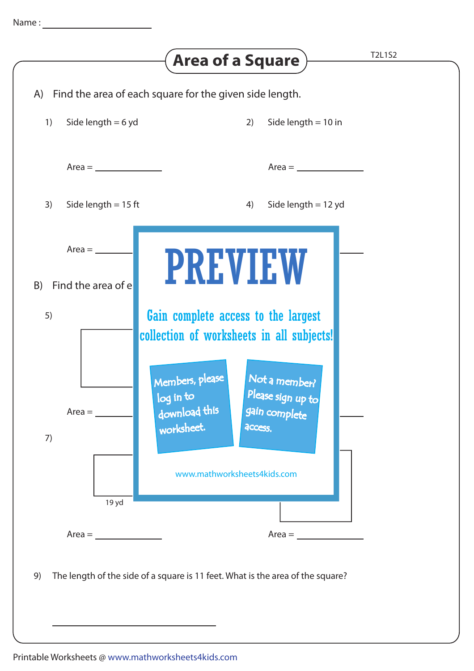